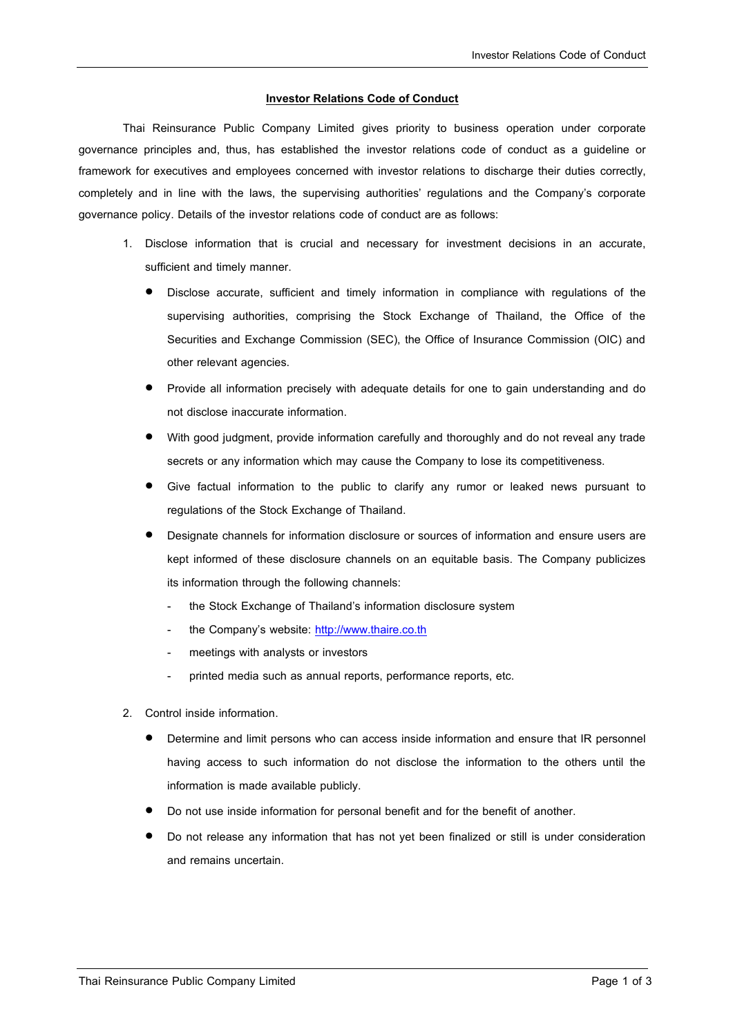## **Investor Relations Code of Conduct**

Thai Reinsurance Public Company Limited gives priority to business operation under corporate governance principles and, thus, has established the investor relations code of conduct as a guideline or framework for executives and employees concerned with investor relations to discharge their duties correctly, completely and in line with the laws, the supervising authorities' regulations and the Company's corporate governance policy. Details of the investor relations code of conduct are as follows:

- 1. Disclose information that is crucial and necessary for investment decisions in an accurate, sufficient and timely manner.
	- Disclose accurate, sufficient and timely information in compliance with regulations of the supervising authorities, comprising the Stock Exchange of Thailand, the Office of the Securities and Exchange Commission (SEC), the Office of Insurance Commission (OIC) and other relevant agencies.
	- Provide all information precisely with adequate details for one to gain understanding and do not disclose inaccurate information.
	- With good judgment, provide information carefully and thoroughly and do not reveal any trade secrets or any information which may cause the Company to lose its competitiveness.
	- Give factual information to the public to clarify any rumor or leaked news pursuant to regulations of the Stock Exchange of Thailand.
	- Designate channels for information disclosure or sources of information and ensure users are kept informed of these disclosure channels on an equitable basis. The Company publicizes its information through the following channels:
		- the Stock Exchange of Thailand's information disclosure system
		- the Company's website: [http://www.thaire.co.th](http://www.thaire.co.th/)
		- meetings with analysts or investors
		- printed media such as annual reports, performance reports, etc.
- 2. Control inside information.
	- Determine and limit persons who can access inside information and ensure that IR personnel having access to such information do not disclose the information to the others until the information is made available publicly.
	- Do not use inside information for personal benefit and for the benefit of another.
	- Do not release any information that has not yet been finalized or still is under consideration and remains uncertain.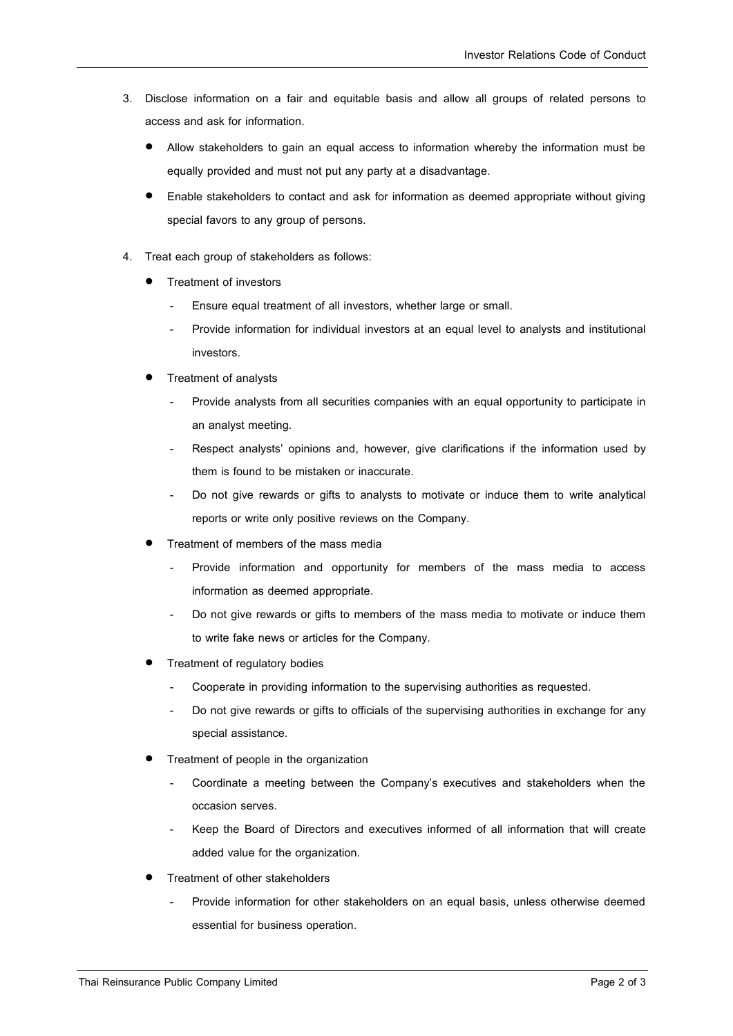- 3. Disclose information on a fair and equitable basis and allow all groups of related persons to access and ask for information.
	- Allow stakeholders to gain an equal access to information whereby the information must be equally provided and must not put any party at a disadvantage.
	- Enable stakeholders to contact and ask for information as deemed appropriate without giving special favors to any group of persons.
- 4. Treat each group of stakeholders as follows:
	- Treatment of investors
		- Ensure equal treatment of all investors, whether large or small.
		- Provide information for individual investors at an equal level to analysts and institutional investors.
	- Treatment of analysts
		- Provide analysts from all securities companies with an equal opportunity to participate in an analyst meeting.
		- Respect analysts' opinions and, however, give clarifications if the information used by them is found to be mistaken or inaccurate.
		- Do not give rewards or gifts to analysts to motivate or induce them to write analytical reports or write only positive reviews on the Company.
	- Treatment of members of the mass media
		- Provide information and opportunity for members of the mass media to access information as deemed appropriate.
		- Do not give rewards or gifts to members of the mass media to motivate or induce them to write fake news or articles for the Company.
	- Treatment of regulatory bodies
		- Cooperate in providing information to the supervising authorities as requested.
		- Do not give rewards or gifts to officials of the supervising authorities in exchange for any special assistance.
	- Treatment of people in the organization
		- Coordinate a meeting between the Company's executives and stakeholders when the occasion serves.
		- Keep the Board of Directors and executives informed of all information that will create added value for the organization.
	- Treatment of other stakeholders
		- Provide information for other stakeholders on an equal basis, unless otherwise deemed essential for business operation.